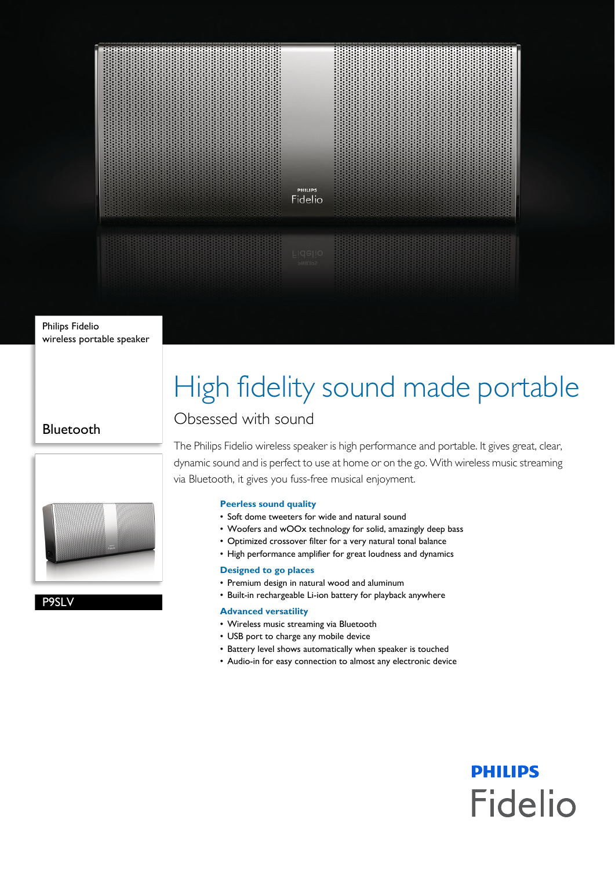

Philips Fidelio wireless portable speaker

# High fidelity sound made portable

### Bluetooth





## Obsessed with sound

The Philips Fidelio wireless speaker is high performance and portable. It gives great, clear, dynamic sound and is perfect to use at home or on the go. With wireless music streaming via Bluetooth, it gives you fuss-free musical enjoyment.

#### **Peerless sound quality**

- Soft dome tweeters for wide and natural sound
- Woofers and wOOx technology for solid, amazingly deep bass
- Optimized crossover filter for a very natural tonal balance
- High performance amplifier for great loudness and dynamics

#### **Designed to go places**

- Premium design in natural wood and aluminum
- Built-in rechargeable Li-ion battery for playback anywhere

#### **Advanced versatility**

- Wireless music streaming via Bluetooth
- USB port to charge any mobile device
- Battery level shows automatically when speaker is touched
- Audio-in for easy connection to almost any electronic device

**PHILIPS** 

**Fidelio**